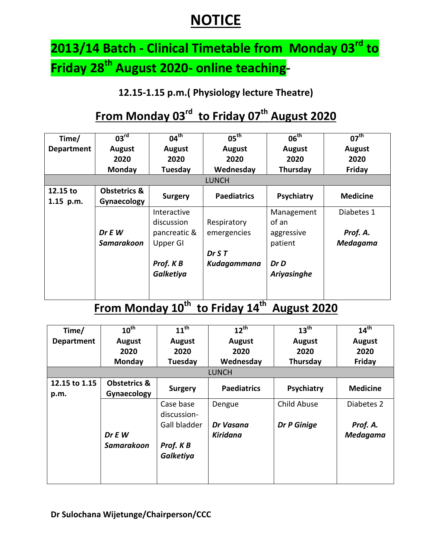# **NOTICE**

# **2013/14 Batch - Clinical Timetable from Monday 03rd to Friday 28th August 2020- online teaching-**

### **12.15-1.15 p.m.( Physiology lecture Theatre)**

# **From Monday 03rd to Friday 07th August 2020**

| Time/                 | $03^{\text{rd}}$                       | $04^{\text{th}}$          | $05^{\text{th}}$   | $06^{\text{th}}$      | $07^{\text{th}}$            |  |  |
|-----------------------|----------------------------------------|---------------------------|--------------------|-----------------------|-----------------------------|--|--|
| <b>Department</b>     | <b>August</b>                          | August                    | <b>August</b>      | <b>August</b>         | <b>August</b>               |  |  |
|                       | 2020                                   | 2020                      | 2020               | 2020                  | 2020                        |  |  |
|                       | Monday                                 | Tuesday                   | Wednesday          | Thursday              | Friday                      |  |  |
|                       | <b>LUNCH</b>                           |                           |                    |                       |                             |  |  |
| 12.15 to<br>1.15 p.m. | <b>Obstetrics &amp;</b><br>Gynaecology | <b>Surgery</b>            | <b>Paediatrics</b> | Psychiatry            | <b>Medicine</b>             |  |  |
|                       |                                        | Interactive<br>discussion | Respiratory        | Management<br>of an   | Diabetes 1                  |  |  |
|                       | Dr E W<br><b>Samarakoon</b>            | pancreatic &<br>Upper GI  | emergencies        | aggressive<br>patient | Prof. A.<br><b>Medagama</b> |  |  |
|                       |                                        |                           | Dr S T             |                       |                             |  |  |
|                       |                                        | Prof. KB                  | Kudagammana        | Dr D                  |                             |  |  |
|                       |                                        | Galketiya                 |                    | Ariyasinghe           |                             |  |  |
|                       |                                        |                           |                    |                       |                             |  |  |

### **From Monday 10th to Friday 14th August 2020**

| Time/             | $10^{\text{th}}$        | $11^{\text{th}}$ | $12^{th}$          | 13 <sup>th</sup> | $14^{\text{th}}$ |  |
|-------------------|-------------------------|------------------|--------------------|------------------|------------------|--|
| <b>Department</b> | <b>August</b>           | <b>August</b>    | <b>August</b>      | <b>August</b>    | <b>August</b>    |  |
|                   | 2020                    | 2020             | 2020               | 2020             | 2020             |  |
|                   | <b>Monday</b>           | Tuesday          | Wednesday          | Thursday         | Friday           |  |
| <b>LUNCH</b>      |                         |                  |                    |                  |                  |  |
| 12.15 to 1.15     | <b>Obstetrics &amp;</b> | <b>Surgery</b>   | <b>Paediatrics</b> | Psychiatry       | <b>Medicine</b>  |  |
| p.m.              | Gynaecology             |                  |                    |                  |                  |  |
|                   |                         | Case base        | Dengue             | Child Abuse      | Diabetes 2       |  |
|                   |                         | discussion-      |                    |                  |                  |  |
|                   |                         | Gall bladder     | Dr Vasana          | Dr P Ginige      | Prof. A.         |  |
|                   | Dr E W                  |                  | Kiridana           |                  | <b>Medagama</b>  |  |
|                   | <b>Samarakoon</b>       | Prof. K B        |                    |                  |                  |  |
|                   |                         | Galketiya        |                    |                  |                  |  |
|                   |                         |                  |                    |                  |                  |  |
|                   |                         |                  |                    |                  |                  |  |